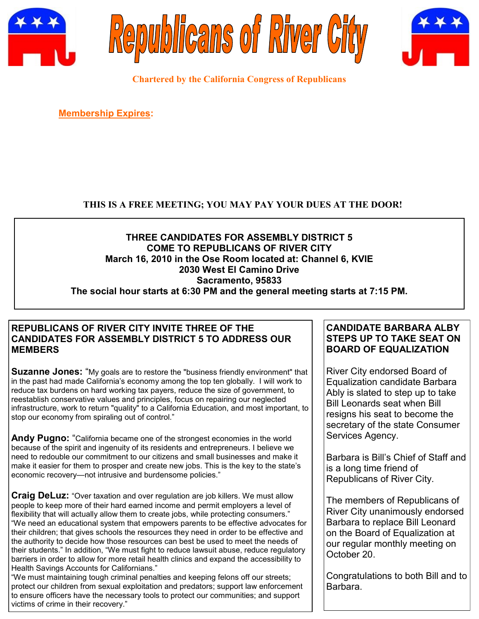





**Chartered by the California Congress of Republicans**

**Membership Expires:** 

# **THIS IS A FREE MEETING; YOU MAY PAY YOUR DUES AT THE DOOR!**

## **THREE CANDIDATES FOR ASSEMBLY DISTRICT 5 COME TO REPUBLICANS OF RIVER CITY March 16, 2010 in the Ose Room located at: Channel 6, KVIE 2030 West El Camino Drive Sacramento, 95833 The social hour starts at 6:30 PM and the general meeting starts at 7:15 PM.**

## **REPUBLICANS OF RIVER CITY INVITE THREE OF THE CANDIDATES FOR ASSEMBLY DISTRICT 5 TO ADDRESS OUR MEMBERS**

**Suzanne Jones:** "My goals are to restore the "business friendly environment" that in the past had made California's economy among the top ten globally. I will work to reduce tax burdens on hard working tax payers, reduce the size of government, to reestablish conservative values and principles, focus on repairing our neglected infrastructure, work to return "quality" to a California Education, and most important, to stop our economy from spiraling out of control."

Andy Pugno: "California became one of the strongest economies in the world because of the spirit and ingenuity of its residents and entrepreneurs. I believe we need to redouble our commitment to our citizens and small businesses and make it make it easier for them to prosper and create new jobs. This is the key to the state's economic recovery—not intrusive and burdensome policies."

**Craig DeLuz:** "Over taxation and over regulation are job killers. We must allow people to keep more of their hard earned income and permit employers a level of flexibility that will actually allow them to create jobs, while protecting consumers." ―We need an educational system that empowers parents to be effective advocates for their children; that gives schools the resources they need in order to be effective and the authority to decide how those resources can best be used to meet the needs of their students." In addition, "We must fight to reduce lawsuit abuse, reduce regulatory barriers in order to allow for more retail health clinics and expand the accessibility to Health Savings Accounts for Californians."

―We must maintaining tough criminal penalties and keeping felons off our streets; protect our children from sexual exploitation and predators; support law enforcement to ensure officers have the necessary tools to protect our communities; and support victims of crime in their recovery."

# **CANDIDATE BARBARA ALBY STEPS UP TO TAKE SEAT ON BOARD OF EQUALIZATION**

River City endorsed Board of Equalization candidate Barbara Ably is slated to step up to take Bill Leonards seat when Bill resigns his seat to become the secretary of the state Consumer Services Agency.

Barbara is Bill's Chief of Staff and is a long time friend of Republicans of River City.

The members of Republicans of River City unanimously endorsed Barbara to replace Bill Leonard on the Board of Equalization at our regular monthly meeting on October 20.

Congratulations to both Bill and to Barbara.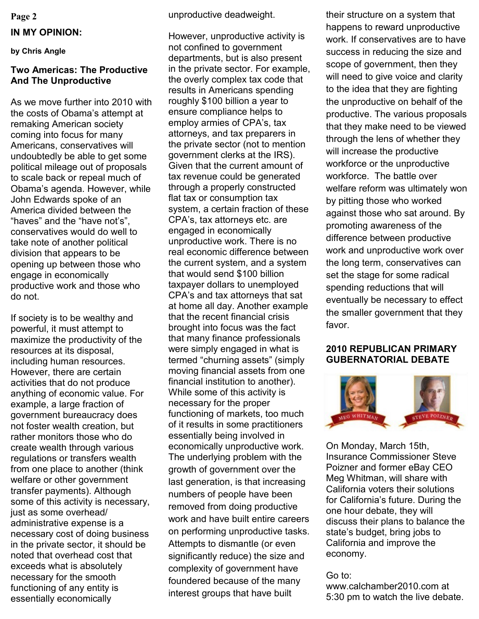## **IN MY OPINION:**

**by Chris Angle**

## **Two Americas: The Productive And The Unproductive**

As we move further into 2010 with the costs of Obama's attempt at remaking American society coming into focus for many Americans, conservatives will undoubtedly be able to get some political mileage out of proposals to scale back or repeal much of Obama's agenda. However, while John Edwards spoke of an America divided between the "haves" and the "have not's". conservatives would do well to take note of another political division that appears to be opening up between those who engage in economically productive work and those who do not.

If society is to be wealthy and powerful, it must attempt to maximize the productivity of the resources at its disposal, including human resources. However, there are certain activities that do not produce anything of economic value. For example, a large fraction of government bureaucracy does not foster wealth creation, but rather monitors those who do create wealth through various regulations or transfers wealth from one place to another (think welfare or other government transfer payments). Although some of this activity is necessary, just as some overhead/ administrative expense is a necessary cost of doing business in the private sector, it should be noted that overhead cost that exceeds what is absolutely necessary for the smooth functioning of any entity is essentially economically

**Page 2** unproductive deadweight.

However, unproductive activity is not confined to government departments, but is also present in the private sector. For example, the overly complex tax code that results in Americans spending roughly \$100 billion a year to ensure compliance helps to employ armies of CPA's, tax attorneys, and tax preparers in the private sector (not to mention government clerks at the IRS). Given that the current amount of tax revenue could be generated through a properly constructed flat tax or consumption tax system, a certain fraction of these CPA's, tax attorneys etc. are engaged in economically unproductive work. There is no real economic difference between the current system, and a system that would send \$100 billion taxpayer dollars to unemployed CPA's and tax attorneys that sat at home all day. Another example that the recent financial crisis brought into focus was the fact that many finance professionals were simply engaged in what is termed "churning assets" (simply moving financial assets from one financial institution to another). While some of this activity is necessary for the proper functioning of markets, too much of it results in some practitioners essentially being involved in economically unproductive work. The underlying problem with the growth of government over the last generation, is that increasing numbers of people have been removed from doing productive work and have built entire careers on performing unproductive tasks. Attempts to dismantle (or even significantly reduce) the size and complexity of government have foundered because of the many interest groups that have built

their structure on a system that happens to reward unproductive work. If conservatives are to have success in reducing the size and scope of government, then they will need to give voice and clarity to the idea that they are fighting the unproductive on behalf of the productive. The various proposals that they make need to be viewed through the lens of whether they will increase the productive workforce or the unproductive workforce. The battle over welfare reform was ultimately won by pitting those who worked against those who sat around. By promoting awareness of the difference between productive work and unproductive work over the long term, conservatives can set the stage for some radical spending reductions that will eventually be necessary to effect the smaller government that they favor.

## **2010 REPUBLICAN PRIMARY GUBERNATORIAL DEBATE**



On Monday, March 15th, Insurance Commissioner Steve Poizner and former eBay CEO Meg Whitman, will share with California voters their solutions for California's future. During the one hour debate, they will discuss their plans to balance the state's budget, bring jobs to California and improve the economy.

### Go to:

www.calchamber2010.com at 5:30 pm to watch the live debate.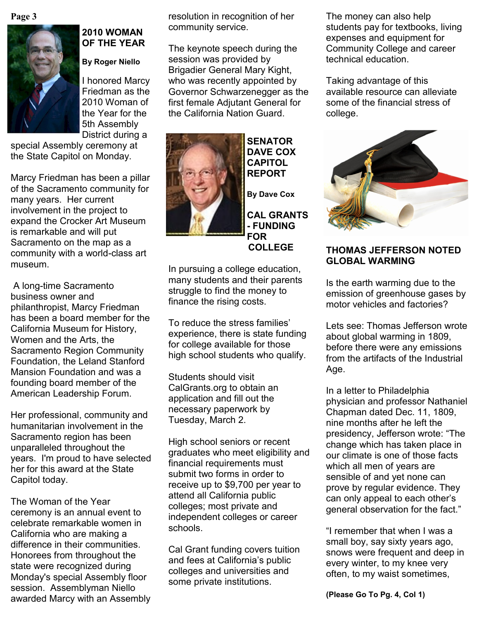**Page 3**



# **2010 WOMAN OF THE YEAR**

**By Roger Niello**

I honored Marcy Friedman as the 2010 Woman of the Year for the 5th Assembly District during a

special Assembly ceremony at the State Capitol on Monday.

Marcy Friedman has been a pillar of the Sacramento community for many years. Her current involvement in the project to expand the Crocker Art Museum is remarkable and will put Sacramento on the map as a community with a world-class art museum.

A long-time Sacramento business owner and philanthropist, Marcy Friedman has been a board member for the California Museum for History, Women and the Arts, the Sacramento Region Community Foundation, the Leland Stanford Mansion Foundation and was a founding board member of the American Leadership Forum.

Her professional, community and humanitarian involvement in the Sacramento region has been unparalleled throughout the years. I'm proud to have selected her for this award at the State Capitol today.

The Woman of the Year ceremony is an annual event to celebrate remarkable women in California who are making a difference in their communities. Honorees from throughout the state were recognized during Monday's special Assembly floor session. Assemblyman Niello awarded Marcy with an Assembly

resolution in recognition of her community service.

The keynote speech during the session was provided by Brigadier General Mary Kight, who was recently appointed by Governor Schwarzenegger as the first female Adjutant General for the California Nation Guard.



**SENATOR DAVE COX CAPITOL REPORT By Dave Cox**

**CAL GRANTS - FUNDING FOR** 

 **COLLEGE**

In pursuing a college education, many students and their parents struggle to find the money to finance the rising costs.

To reduce the stress families' experience, there is state funding for college available for those high school students who qualify.

Students should visit CalGrants.org to obtain an application and fill out the necessary paperwork by Tuesday, March 2.

High school seniors or recent graduates who meet eligibility and financial requirements must submit two forms in order to receive up to \$9,700 per year to attend all California public colleges; most private and independent colleges or career schools.

Cal Grant funding covers tuition and fees at California's public colleges and universities and some private institutions.

The money can also help students pay for textbooks, living expenses and equipment for Community College and career technical education.

Taking advantage of this available resource can alleviate some of the financial stress of college.



# **THOMAS JEFFERSON NOTED GLOBAL WARMING**

Is the earth warming due to the emission of greenhouse gases by motor vehicles and factories?

Lets see: Thomas Jefferson wrote about global warming in 1809, before there were any emissions from the artifacts of the Industrial Age.

In a letter to Philadelphia physician and professor Nathaniel Chapman dated Dec. 11, 1809, nine months after he left the presidency, Jefferson wrote: "The change which has taken place in our climate is one of those facts which all men of years are sensible of and yet none can prove by regular evidence. They can only appeal to each other's general observation for the fact."

"I remember that when I was a small boy, say sixty years ago, snows were frequent and deep in every winter, to my knee very often, to my waist sometimes,

**(Please Go To Pg. 4, Col 1)**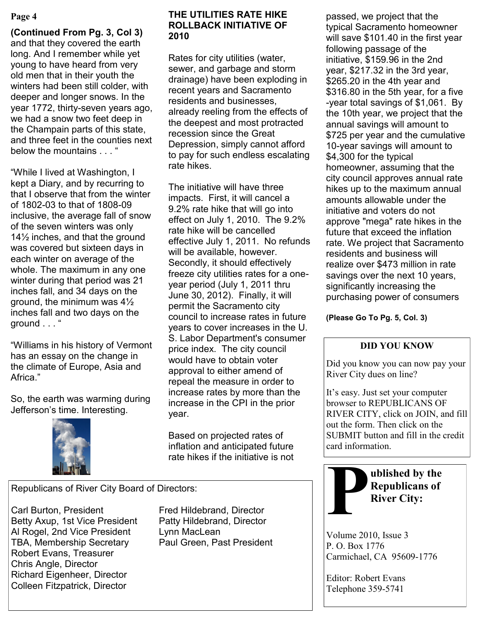## **Page 4**

**(Continued From Pg. 3, Col 3)** and that they covered the earth long. And I remember while yet young to have heard from very old men that in their youth the winters had been still colder, with deeper and longer snows. In the year 1772, thirty-seven years ago, we had a snow two feet deep in the Champain parts of this state, and three feet in the counties next below the mountains . . . "

―While I lived at Washington, I kept a Diary, and by recurring to that I observe that from the winter of 1802-03 to that of 1808-09 inclusive, the average fall of snow of the seven winters was only 14½ inches, and that the ground was covered but sixteen days in each winter on average of the whole. The maximum in any one winter during that period was 21 inches fall, and 34 days on the ground, the minimum was 4½ inches fall and two days on the ground . . . "

―Williams in his history of Vermont has an essay on the change in the climate of Europe, Asia and Africa."

So, the earth was warming during Jefferson's time. Interesting.



## **THE UTILITIES RATE HIKE ROLLBACK INITIATIVE OF 2010**

Rates for city utilities (water, sewer, and garbage and storm drainage) have been exploding in recent years and Sacramento residents and businesses, already reeling from the effects of the deepest and most protracted recession since the Great Depression, simply cannot afford to pay for such endless escalating rate hikes.

The initiative will have three impacts. First, it will cancel a 9.2% rate hike that will go into effect on July 1, 2010. The 9.2% rate hike will be cancelled effective July 1, 2011. No refunds will be available, however. Secondly, it should effectively freeze city utilities rates for a oneyear period (July 1, 2011 thru June 30, 2012). Finally, it will permit the Sacramento city council to increase rates in future years to cover increases in the U. S. Labor Department's consumer price index. The city council would have to obtain voter approval to either amend of repeal the measure in order to increase rates by more than the increase in the CPI in the prior year.

Based on projected rates of inflation and anticipated future rate hikes if the initiative is not

Republicans of River City Board of Directors:

Carl Burton, President Fred Hildebrand, Director Betty Axup, 1st Vice President Patty Hildebrand, Director Al Rogel, 2nd Vice President Lynn MacLean TBA, Membership Secretary Paul Green, Past President Robert Evans, Treasurer Chris Angle, Director Richard Eigenheer, Director Colleen Fitzpatrick, Director

passed, we project that the typical Sacramento homeowner will save \$101.40 in the first year following passage of the initiative, \$159.96 in the 2nd year, \$217.32 in the 3rd year, \$265.20 in the 4th year and \$316.80 in the 5th year, for a five -year total savings of \$1,061. By the 10th year, we project that the annual savings will amount to \$725 per year and the cumulative 10-year savings will amount to \$4,300 for the typical homeowner, assuming that the city council approves annual rate hikes up to the maximum annual amounts allowable under the initiative and voters do not approve "mega" rate hikes in the future that exceed the inflation rate. We project that Sacramento residents and business will realize over \$473 million in rate savings over the next 10 years, significantly increasing the purchasing power of consumers

**(Please Go To Pg. 5, Col. 3)**

# **DID YOU KNOW**

Did you know you can now pay your River City dues on line?

It's easy. Just set your computer browser to REPUBLICANS OF RIVER CITY, click on JOIN, and fill out the form. Then click on the SUBMIT button and fill in the credit card information.



Volume 2010, Issue 3 P. O. Box 1776 Carmichael, CA 95609-1776

Editor: Robert Evans Telephone 359-5741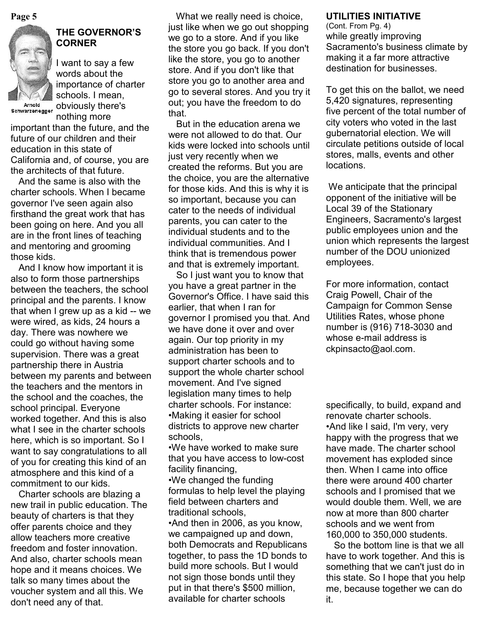

Schwarzenegger

# **THE GOVERNOR'S CORNER**

I want to say a few words about the importance of charter schools. I mean, obviously there's nothing more

important than the future, and the future of our children and their education in this state of California and, of course, you are the architects of that future.

 And the same is also with the charter schools. When I became governor I've seen again also firsthand the great work that has been going on here. And you all are in the front lines of teaching and mentoring and grooming those kids.

 And I know how important it is also to form those partnerships between the teachers, the school principal and the parents. I know that when I grew up as a kid -- we were wired, as kids, 24 hours a day. There was nowhere we could go without having some supervision. There was a great partnership there in Austria between my parents and between the teachers and the mentors in the school and the coaches, the school principal. Everyone worked together. And this is also what I see in the charter schools here, which is so important. So I want to say congratulations to all of you for creating this kind of an atmosphere and this kind of a commitment to our kids.

 Charter schools are blazing a new trail in public education. The beauty of charters is that they offer parents choice and they allow teachers more creative freedom and foster innovation. And also, charter schools mean hope and it means choices. We talk so many times about the voucher system and all this. We don't need any of that.

 What we really need is choice, **Page 5 UTILITIES INITIATIVE** just like when we go out shopping we go to a store. And if you like the store you go back. If you don't like the store, you go to another store. And if you don't like that store you go to another area and go to several stores. And you try it out; you have the freedom to do that.

> But in the education arena we were not allowed to do that. Our kids were locked into schools until just very recently when we created the reforms. But you are the choice, you are the alternative for those kids. And this is why it is so important, because you can cater to the needs of individual parents, you can cater to the individual students and to the individual communities. And I think that is tremendous power and that is extremely important.

> So I just want you to know that you have a great partner in the Governor's Office. I have said this earlier, that when I ran for governor I promised you that. And we have done it over and over again. Our top priority in my administration has been to support charter schools and to support the whole charter school movement. And I've signed legislation many times to help charter schools. For instance: •Making it easier for school districts to approve new charter schools,

•We have worked to make sure that you have access to low-cost facility financing,

•We changed the funding formulas to help level the playing field between charters and traditional schools,

•And then in 2006, as you know, we campaigned up and down, both Democrats and Republicans together, to pass the 1D bonds to build more schools. But I would not sign those bonds until they put in that there's \$500 million, available for charter schools

(Cont. From Pg. 4) while greatly improving Sacramento's business climate by making it a far more attractive destination for businesses.

To get this on the ballot, we need 5,420 signatures, representing five percent of the total number of city voters who voted in the last gubernatorial election. We will circulate petitions outside of local stores, malls, events and other locations.

We anticipate that the principal opponent of the initiative will be Local 39 of the Stationary Engineers, Sacramento's largest public employees union and the union which represents the largest number of the DOU unionized employees.

For more information, contact Craig Powell, Chair of the Campaign for Common Sense Utilities Rates, whose phone number is (916) 718-3030 and whose e-mail address is ckpinsacto@aol.com.

specifically, to build, expand and renovate charter schools. •And like I said, I'm very, very happy with the progress that we have made. The charter school movement has exploded since then. When I came into office there were around 400 charter schools and I promised that we would double them. Well, we are now at more than 800 charter schools and we went from 160,000 to 350,000 students.

 So the bottom line is that we all have to work together. And this is something that we can't just do in this state. So I hope that you help me, because together we can do it.